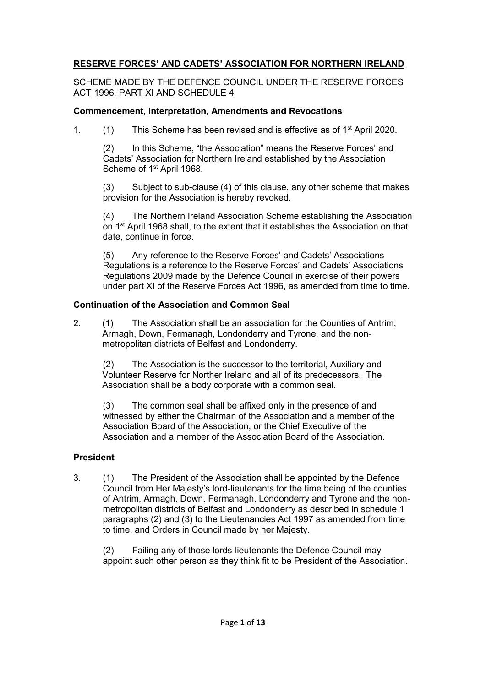# **RESERVE FORCES' AND CADETS' ASSOCIATION FOR NORTHERN IRELAND**

SCHEME MADE BY THE DEFENCE COUNCIL UNDER THE RESERVE FORCES ACT 1996, PART XI AND SCHEDULE 4

## **Commencement, Interpretation, Amendments and Revocations**

1.  $(1)$  This Scheme has been revised and is effective as of  $1<sup>st</sup>$  April 2020.

(2) In this Scheme, "the Association" means the Reserve Forces' and Cadets' Association for Northern Ireland established by the Association Scheme of 1<sup>st</sup> April 1968.

(3) Subject to sub-clause (4) of this clause, any other scheme that makes provision for the Association is hereby revoked.

(4) The Northern Ireland Association Scheme establishing the Association on 1st April 1968 shall, to the extent that it establishes the Association on that date, continue in force.

(5) Any reference to the Reserve Forces' and Cadets' Associations Regulations is a reference to the Reserve Forces' and Cadets' Associations Regulations 2009 made by the Defence Council in exercise of their powers under part XI of the Reserve Forces Act 1996, as amended from time to time.

### **Continuation of the Association and Common Seal**

2. (1) The Association shall be an association for the Counties of Antrim, Armagh, Down, Fermanagh, Londonderry and Tyrone, and the nonmetropolitan districts of Belfast and Londonderry.

(2) The Association is the successor to the territorial, Auxiliary and Volunteer Reserve for Norther Ireland and all of its predecessors. The Association shall be a body corporate with a common seal.

(3) The common seal shall be affixed only in the presence of and witnessed by either the Chairman of the Association and a member of the Association Board of the Association, or the Chief Executive of the Association and a member of the Association Board of the Association.

## **President**

3. (1) The President of the Association shall be appointed by the Defence Council from Her Majesty's lord-lieutenants for the time being of the counties of Antrim, Armagh, Down, Fermanagh, Londonderry and Tyrone and the nonmetropolitan districts of Belfast and Londonderry as described in schedule 1 paragraphs (2) and (3) to the Lieutenancies Act 1997 as amended from time to time, and Orders in Council made by her Majesty.

(2) Failing any of those lords-lieutenants the Defence Council may appoint such other person as they think fit to be President of the Association.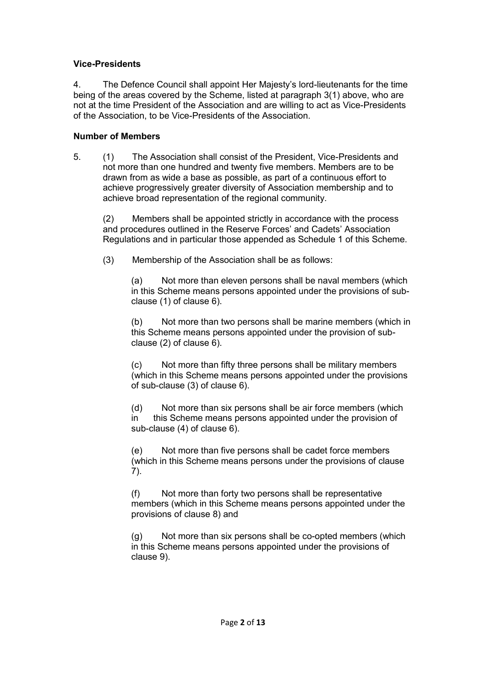### **Vice-Presidents**

4. The Defence Council shall appoint Her Majesty's lord-lieutenants for the time being of the areas covered by the Scheme, listed at paragraph 3(1) above, who are not at the time President of the Association and are willing to act as Vice-Presidents of the Association, to be Vice-Presidents of the Association.

### **Number of Members**

5. (1) The Association shall consist of the President, Vice-Presidents and not more than one hundred and twenty five members. Members are to be drawn from as wide a base as possible, as part of a continuous effort to achieve progressively greater diversity of Association membership and to achieve broad representation of the regional community.

(2) Members shall be appointed strictly in accordance with the process and procedures outlined in the Reserve Forces' and Cadets' Association Regulations and in particular those appended as Schedule 1 of this Scheme.

(3) Membership of the Association shall be as follows:

(a) Not more than eleven persons shall be naval members (which in this Scheme means persons appointed under the provisions of subclause (1) of clause 6).

(b) Not more than two persons shall be marine members (which in this Scheme means persons appointed under the provision of subclause (2) of clause 6).

(c) Not more than fifty three persons shall be military members (which in this Scheme means persons appointed under the provisions of sub-clause (3) of clause 6).

(d) Not more than six persons shall be air force members (which in this Scheme means persons appointed under the provision of sub-clause (4) of clause 6).

(e) Not more than five persons shall be cadet force members (which in this Scheme means persons under the provisions of clause 7).

(f) Not more than forty two persons shall be representative members (which in this Scheme means persons appointed under the provisions of clause 8) and

(g) Not more than six persons shall be co-opted members (which in this Scheme means persons appointed under the provisions of clause 9).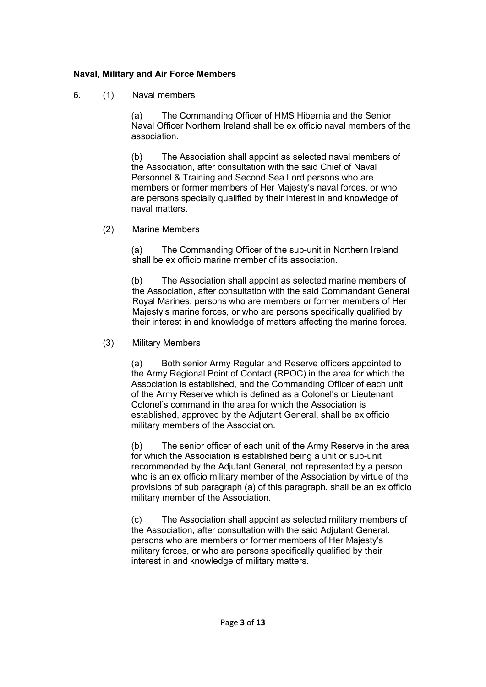## **Naval, Military and Air Force Members**

6. (1) Naval members

(a) The Commanding Officer of HMS Hibernia and the Senior Naval Officer Northern Ireland shall be ex officio naval members of the association.

(b) The Association shall appoint as selected naval members of the Association, after consultation with the said Chief of Naval Personnel & Training and Second Sea Lord persons who are members or former members of Her Majesty's naval forces, or who are persons specially qualified by their interest in and knowledge of naval matters.

(2) Marine Members

(a) The Commanding Officer of the sub-unit in Northern Ireland shall be ex officio marine member of its association.

(b) The Association shall appoint as selected marine members of the Association, after consultation with the said Commandant General Royal Marines, persons who are members or former members of Her Majesty's marine forces, or who are persons specifically qualified by their interest in and knowledge of matters affecting the marine forces.

(3) Military Members

(a) Both senior Army Regular and Reserve officers appointed to the Army Regional Point of Contact **(**RPOC) in the area for which the Association is established, and the Commanding Officer of each unit of the Army Reserve which is defined as a Colonel's or Lieutenant Colonel's command in the area for which the Association is established, approved by the Adjutant General, shall be ex officio military members of the Association.

(b) The senior officer of each unit of the Army Reserve in the area for which the Association is established being a unit or sub-unit recommended by the Adjutant General, not represented by a person who is an ex officio military member of the Association by virtue of the provisions of sub paragraph (a) of this paragraph, shall be an ex officio military member of the Association.

(c) The Association shall appoint as selected military members of the Association, after consultation with the said Adjutant General, persons who are members or former members of Her Majesty's military forces, or who are persons specifically qualified by their interest in and knowledge of military matters.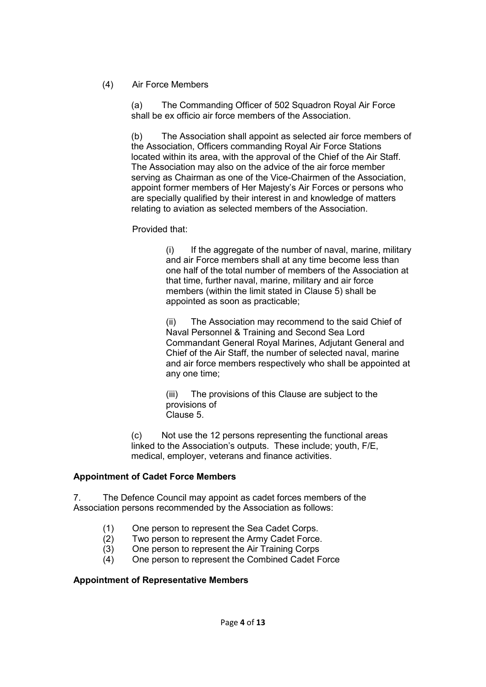## (4) Air Force Members

(a) The Commanding Officer of 502 Squadron Royal Air Force shall be ex officio air force members of the Association.

(b) The Association shall appoint as selected air force members of the Association, Officers commanding Royal Air Force Stations located within its area, with the approval of the Chief of the Air Staff. The Association may also on the advice of the air force member serving as Chairman as one of the Vice-Chairmen of the Association, appoint former members of Her Majesty's Air Forces or persons who are specially qualified by their interest in and knowledge of matters relating to aviation as selected members of the Association.

Provided that:

 $(i)$  If the aggregate of the number of naval, marine, military and air Force members shall at any time become less than one half of the total number of members of the Association at that time, further naval, marine, military and air force members (within the limit stated in Clause 5) shall be appointed as soon as practicable;

(ii) The Association may recommend to the said Chief of Naval Personnel & Training and Second Sea Lord Commandant General Royal Marines, Adjutant General and Chief of the Air Staff, the number of selected naval, marine and air force members respectively who shall be appointed at any one time;

(iii) The provisions of this Clause are subject to the provisions of Clause 5.

(c) Not use the 12 persons representing the functional areas linked to the Association's outputs. These include; youth, F/E, medical, employer, veterans and finance activities.

## **Appointment of Cadet Force Members**

7. The Defence Council may appoint as cadet forces members of the Association persons recommended by the Association as follows:

- (1) One person to represent the Sea Cadet Corps.
- (2) Two person to represent the Army Cadet Force.
- (3) One person to represent the Air Training Corps
- (4) One person to represent the Combined Cadet Force

## **Appointment of Representative Members**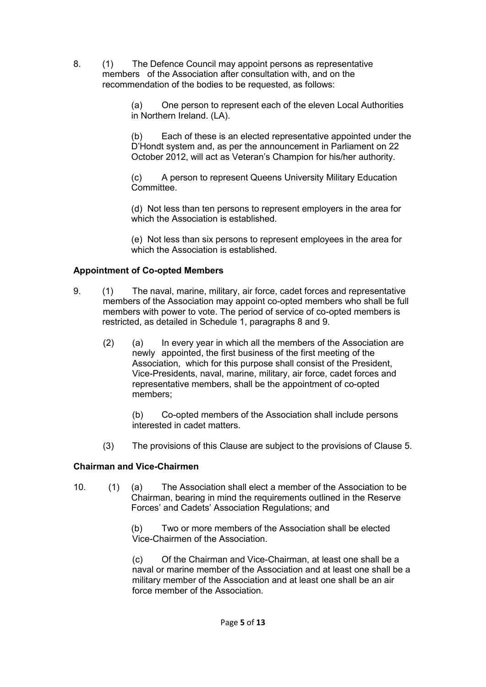- 8. (1) The Defence Council may appoint persons as representative members of the Association after consultation with, and on the recommendation of the bodies to be requested, as follows:
	- (a) One person to represent each of the eleven Local Authorities in Northern Ireland. (LA).

(b) Each of these is an elected representative appointed under the D'Hondt system and, as per the announcement in Parliament on 22 October 2012, will act as Veteran's Champion for his/her authority.

(c) A person to represent Queens University Military Education Committee.

(d) Not less than ten persons to represent employers in the area for which the Association is established.

(e) Not less than six persons to represent employees in the area for which the Association is established.

## **Appointment of Co-opted Members**

- 9. (1) The naval, marine, military, air force, cadet forces and representative members of the Association may appoint co-opted members who shall be full members with power to vote. The period of service of co-opted members is restricted, as detailed in Schedule 1, paragraphs 8 and 9.
	- (2) (a) In every year in which all the members of the Association are newly appointed, the first business of the first meeting of the Association, which for this purpose shall consist of the President, Vice-Presidents, naval, marine, military, air force, cadet forces and representative members, shall be the appointment of co-opted members;

(b) Co-opted members of the Association shall include persons interested in cadet matters.

(3) The provisions of this Clause are subject to the provisions of Clause 5.

## **Chairman and Vice-Chairmen**

10. (1) (a) The Association shall elect a member of the Association to be Chairman, bearing in mind the requirements outlined in the Reserve Forces' and Cadets' Association Regulations; and

> (b) Two or more members of the Association shall be elected Vice-Chairmen of the Association.

(c) Of the Chairman and Vice-Chairman, at least one shall be a naval or marine member of the Association and at least one shall be a military member of the Association and at least one shall be an air force member of the Association.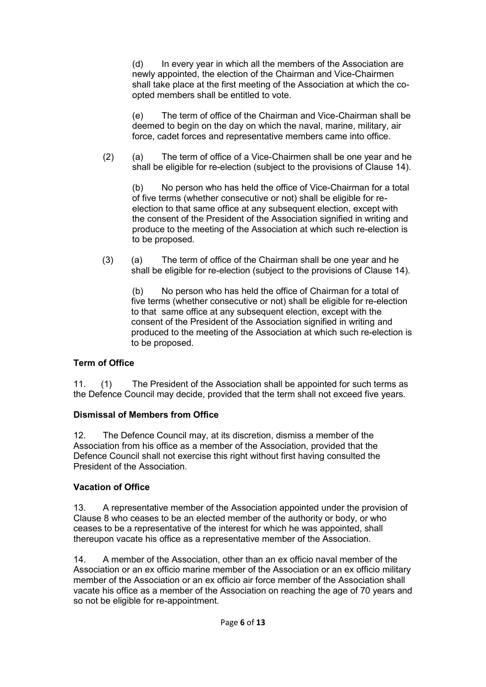(d) In every year in which all the members of the Association are newly appointed, the election of the Chairman and Vice-Chairmen shall take place at the first meeting of the Association at which the coopted members shall be entitled to vote.

(e) The term of office of the Chairman and Vice-Chairman shall be deemed to begin on the day on which the naval, marine, military, air force, cadet forces and representative members came into office.

(2) (a) The term of office of a Vice-Chairmen shall be one year and he shall be eligible for re-election (subject to the provisions of Clause 14).

(b) No person who has held the office of Vice-Chairman for a total of five terms (whether consecutive or not) shall be eligible for reelection to that same office at any subsequent election, except with the consent of the President of the Association signified in writing and produce to the meeting of the Association at which such re-election is to be proposed.

(3) (a) The term of office of the Chairman shall be one year and he shall be eligible for re-election (subject to the provisions of Clause 14).

(b) No person who has held the office of Chairman for a total of five terms (whether consecutive or not) shall be eligible for re-election to that same office at any subsequent election, except with the consent of the President of the Association signified in writing and produced to the meeting of the Association at which such re-election is to be proposed.

# **Term of Office**

11. (1) The President of the Association shall be appointed for such terms as the Defence Council may decide, provided that the term shall not exceed five years.

## **Dismissal of Members from Office**

12. The Defence Council may, at its discretion, dismiss a member of the Association from his office as a member of the Association, provided that the Defence Council shall not exercise this right without first having consulted the President of the Association.

# **Vacation of Office**

13. A representative member of the Association appointed under the provision of Clause 8 who ceases to be an elected member of the authority or body, or who ceases to be a representative of the interest for which he was appointed, shall thereupon vacate his office as a representative member of the Association.

14. A member of the Association, other than an ex officio naval member of the Association or an ex officio marine member of the Association or an ex officio military member of the Association or an ex officio air force member of the Association shall vacate his office as a member of the Association on reaching the age of 70 years and so not be eligible for re-appointment.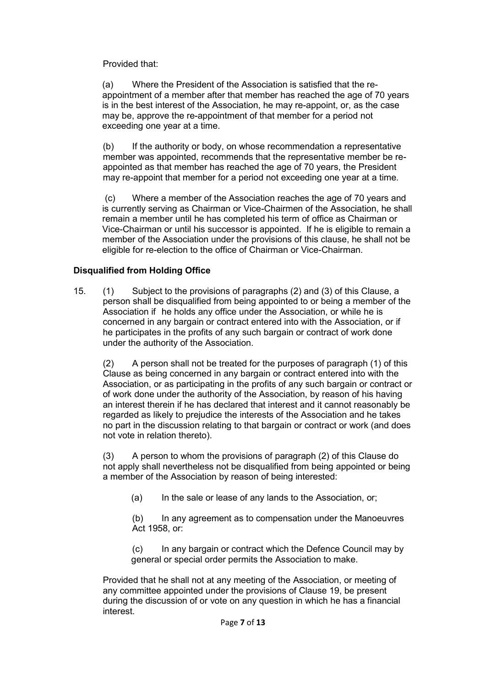Provided that:

(a) Where the President of the Association is satisfied that the reappointment of a member after that member has reached the age of 70 years is in the best interest of the Association, he may re-appoint, or, as the case may be, approve the re-appointment of that member for a period not exceeding one year at a time.

(b) If the authority or body, on whose recommendation a representative member was appointed, recommends that the representative member be reappointed as that member has reached the age of 70 years, the President may re-appoint that member for a period not exceeding one year at a time.

(c) Where a member of the Association reaches the age of 70 years and is currently serving as Chairman or Vice-Chairmen of the Association, he shall remain a member until he has completed his term of office as Chairman or Vice-Chairman or until his successor is appointed. If he is eligible to remain a member of the Association under the provisions of this clause, he shall not be eligible for re-election to the office of Chairman or Vice-Chairman.

# **Disqualified from Holding Office**

15. (1) Subject to the provisions of paragraphs (2) and (3) of this Clause, a person shall be disqualified from being appointed to or being a member of the Association if he holds any office under the Association, or while he is concerned in any bargain or contract entered into with the Association, or if he participates in the profits of any such bargain or contract of work done under the authority of the Association.

(2) A person shall not be treated for the purposes of paragraph (1) of this Clause as being concerned in any bargain or contract entered into with the Association, or as participating in the profits of any such bargain or contract or of work done under the authority of the Association, by reason of his having an interest therein if he has declared that interest and it cannot reasonably be regarded as likely to prejudice the interests of the Association and he takes no part in the discussion relating to that bargain or contract or work (and does not vote in relation thereto).

(3) A person to whom the provisions of paragraph (2) of this Clause do not apply shall nevertheless not be disqualified from being appointed or being a member of the Association by reason of being interested:

(a) In the sale or lease of any lands to the Association, or:

(b) In any agreement as to compensation under the Manoeuvres Act 1958, or:

(c) In any bargain or contract which the Defence Council may by general or special order permits the Association to make.

Provided that he shall not at any meeting of the Association, or meeting of any committee appointed under the provisions of Clause 19, be present during the discussion of or vote on any question in which he has a financial interest.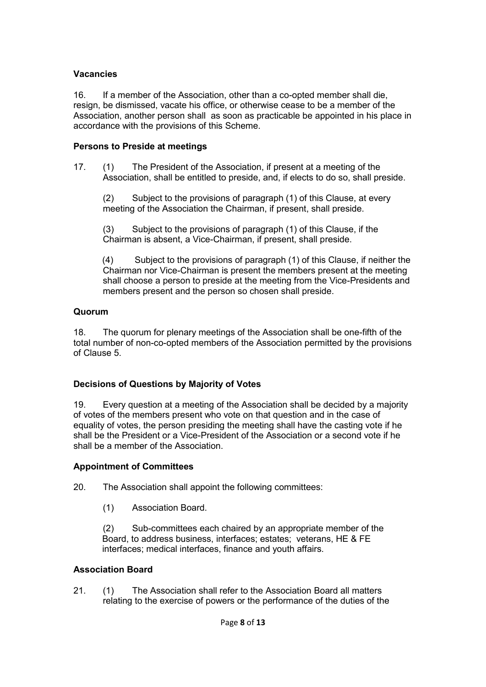# **Vacancies**

16. If a member of the Association, other than a co-opted member shall die, resign, be dismissed, vacate his office, or otherwise cease to be a member of the Association, another person shall as soon as practicable be appointed in his place in accordance with the provisions of this Scheme.

## **Persons to Preside at meetings**

17. (1) The President of the Association, if present at a meeting of the Association, shall be entitled to preside, and, if elects to do so, shall preside.

(2) Subject to the provisions of paragraph (1) of this Clause, at every meeting of the Association the Chairman, if present, shall preside.

(3) Subject to the provisions of paragraph (1) of this Clause, if the Chairman is absent, a Vice-Chairman, if present, shall preside.

(4) Subject to the provisions of paragraph (1) of this Clause, if neither the Chairman nor Vice-Chairman is present the members present at the meeting shall choose a person to preside at the meeting from the Vice-Presidents and members present and the person so chosen shall preside.

# **Quorum**

18. The quorum for plenary meetings of the Association shall be one-fifth of the total number of non-co-opted members of the Association permitted by the provisions of Clause 5.

# **Decisions of Questions by Majority of Votes**

19. Every question at a meeting of the Association shall be decided by a majority of votes of the members present who vote on that question and in the case of equality of votes, the person presiding the meeting shall have the casting vote if he shall be the President or a Vice-President of the Association or a second vote if he shall be a member of the Association.

## **Appointment of Committees**

20. The Association shall appoint the following committees:

(1) Association Board.

(2) Sub-committees each chaired by an appropriate member of the Board, to address business, interfaces; estates; veterans, HE & FE interfaces; medical interfaces, finance and youth affairs.

## **Association Board**

21. (1) The Association shall refer to the Association Board all matters relating to the exercise of powers or the performance of the duties of the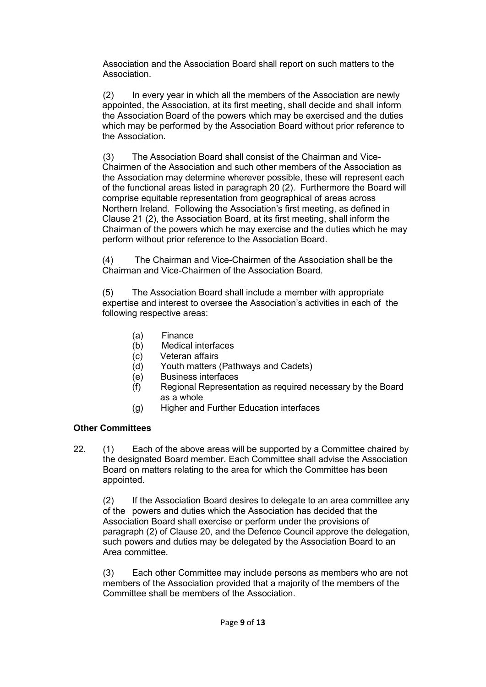Association and the Association Board shall report on such matters to the Association.

(2) In every year in which all the members of the Association are newly appointed, the Association, at its first meeting, shall decide and shall inform the Association Board of the powers which may be exercised and the duties which may be performed by the Association Board without prior reference to the Association.

(3) The Association Board shall consist of the Chairman and Vice-Chairmen of the Association and such other members of the Association as the Association may determine wherever possible, these will represent each of the functional areas listed in paragraph 20 (2). Furthermore the Board will comprise equitable representation from geographical of areas across Northern Ireland. Following the Association's first meeting, as defined in Clause 21 (2), the Association Board, at its first meeting, shall inform the Chairman of the powers which he may exercise and the duties which he may perform without prior reference to the Association Board.

(4) The Chairman and Vice-Chairmen of the Association shall be the Chairman and Vice-Chairmen of the Association Board.

(5) The Association Board shall include a member with appropriate expertise and interest to oversee the Association's activities in each of the following respective areas:

- (a) Finance
- (b) Medical interfaces
- (c) Veteran affairs
- (d) Youth matters (Pathways and Cadets)
- (e) Business interfaces
- (f) Regional Representation as required necessary by the Board as a whole
- (g) Higher and Further Education interfaces

## **Other Committees**

22. (1) Each of the above areas will be supported by a Committee chaired by the designated Board member. Each Committee shall advise the Association Board on matters relating to the area for which the Committee has been appointed.

(2) If the Association Board desires to delegate to an area committee any of the powers and duties which the Association has decided that the Association Board shall exercise or perform under the provisions of paragraph (2) of Clause 20, and the Defence Council approve the delegation, such powers and duties may be delegated by the Association Board to an Area committee.

(3) Each other Committee may include persons as members who are not members of the Association provided that a majority of the members of the Committee shall be members of the Association.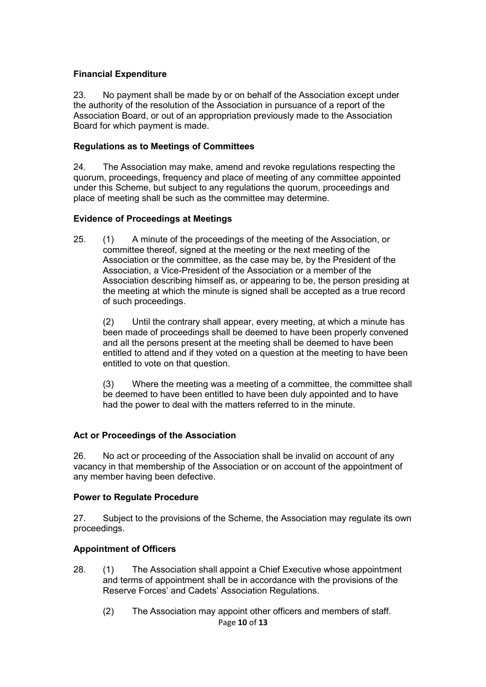### **Financial Expenditure**

23. No payment shall be made by or on behalf of the Association except under the authority of the resolution of the Association in pursuance of a report of the Association Board, or out of an appropriation previously made to the Association Board for which payment is made.

#### **Regulations as to Meetings of Committees**

24. The Association may make, amend and revoke regulations respecting the quorum, proceedings, frequency and place of meeting of any committee appointed under this Scheme, but subject to any regulations the quorum, proceedings and place of meeting shall be such as the committee may determine.

#### **Evidence of Proceedings at Meetings**

25. (1) A minute of the proceedings of the meeting of the Association, or committee thereof, signed at the meeting or the next meeting of the Association or the committee, as the case may be, by the President of the Association, a Vice-President of the Association or a member of the Association describing himself as, or appearing to be, the person presiding at the meeting at which the minute is signed shall be accepted as a true record of such proceedings.

(2) Until the contrary shall appear, every meeting, at which a minute has been made of proceedings shall be deemed to have been properly convened and all the persons present at the meeting shall be deemed to have been entitled to attend and if they voted on a question at the meeting to have been entitled to vote on that question.

(3) Where the meeting was a meeting of a committee, the committee shall be deemed to have been entitled to have been duly appointed and to have had the power to deal with the matters referred to in the minute.

#### **Act or Proceedings of the Association**

26. No act or proceeding of the Association shall be invalid on account of any vacancy in that membership of the Association or on account of the appointment of any member having been defective.

#### **Power to Regulate Procedure**

27. Subject to the provisions of the Scheme, the Association may regulate its own proceedings.

#### **Appointment of Officers**

- 28. (1) The Association shall appoint a Chief Executive whose appointment and terms of appointment shall be in accordance with the provisions of the Reserve Forces' and Cadets' Association Regulations.
	- Page **10** of **13** (2) The Association may appoint other officers and members of staff.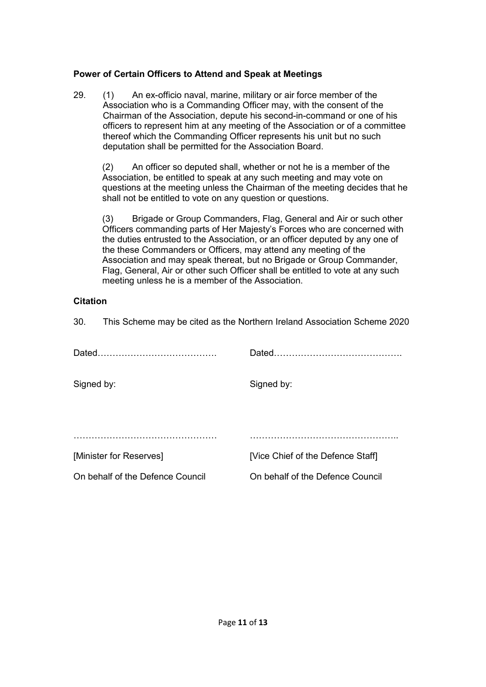## **Power of Certain Officers to Attend and Speak at Meetings**

29. (1) An ex-officio naval, marine, military or air force member of the Association who is a Commanding Officer may, with the consent of the Chairman of the Association, depute his second-in-command or one of his officers to represent him at any meeting of the Association or of a committee thereof which the Commanding Officer represents his unit but no such deputation shall be permitted for the Association Board.

(2) An officer so deputed shall, whether or not he is a member of the Association, be entitled to speak at any such meeting and may vote on questions at the meeting unless the Chairman of the meeting decides that he shall not be entitled to vote on any question or questions.

(3) Brigade or Group Commanders, Flag, General and Air or such other Officers commanding parts of Her Majesty's Forces who are concerned with the duties entrusted to the Association, or an officer deputed by any one of the these Commanders or Officers, may attend any meeting of the Association and may speak thereat, but no Brigade or Group Commander, Flag, General, Air or other such Officer shall be entitled to vote at any such meeting unless he is a member of the Association.

# **Citation**

30. This Scheme may be cited as the Northern Ireland Association Scheme 2020

| Dated.                           |                                   |
|----------------------------------|-----------------------------------|
| Signed by:                       | Signed by:                        |
|                                  |                                   |
|                                  |                                   |
| [Minister for Reserves]          | [Vice Chief of the Defence Staff] |
| On behalf of the Defence Council | On behalf of the Defence Council  |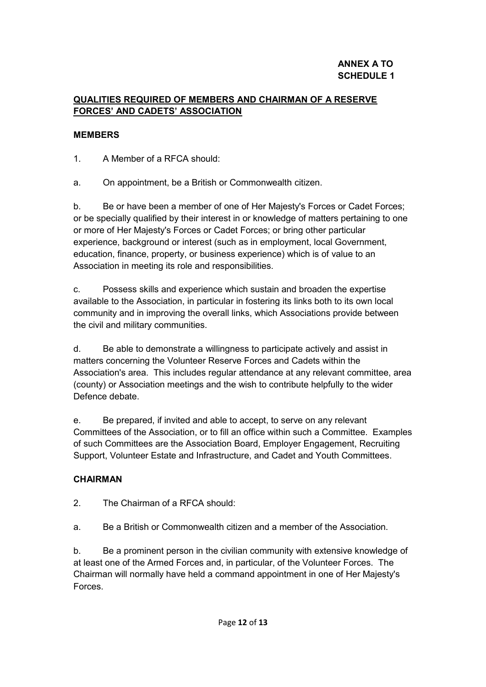# **ANNEX A TO SCHEDULE 1**

# **QUALITIES REQUIRED OF MEMBERS AND CHAIRMAN OF A RESERVE FORCES' AND CADETS' ASSOCIATION**

# **MEMBERS**

1. A Member of a RFCA should:

a. On appointment, be a British or Commonwealth citizen.

b. Be or have been a member of one of Her Majesty's Forces or Cadet Forces; or be specially qualified by their interest in or knowledge of matters pertaining to one or more of Her Majesty's Forces or Cadet Forces; or bring other particular experience, background or interest (such as in employment, local Government, education, finance, property, or business experience) which is of value to an Association in meeting its role and responsibilities.

c. Possess skills and experience which sustain and broaden the expertise available to the Association, in particular in fostering its links both to its own local community and in improving the overall links, which Associations provide between the civil and military communities.

d. Be able to demonstrate a willingness to participate actively and assist in matters concerning the Volunteer Reserve Forces and Cadets within the Association's area. This includes regular attendance at any relevant committee, area (county) or Association meetings and the wish to contribute helpfully to the wider Defence debate.

e. Be prepared, if invited and able to accept, to serve on any relevant Committees of the Association, or to fill an office within such a Committee. Examples of such Committees are the Association Board, Employer Engagement, Recruiting Support, Volunteer Estate and Infrastructure, and Cadet and Youth Committees.

# **CHAIRMAN**

2. The Chairman of a RFCA should:

a. Be a British or Commonwealth citizen and a member of the Association.

b. Be a prominent person in the civilian community with extensive knowledge of at least one of the Armed Forces and, in particular, of the Volunteer Forces. The Chairman will normally have held a command appointment in one of Her Majesty's Forces.